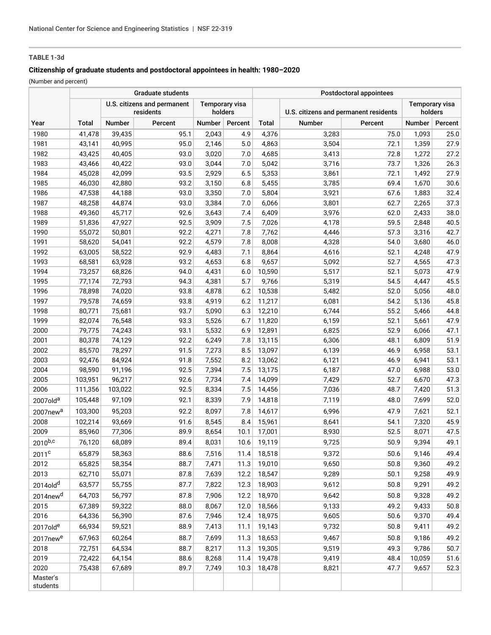# **TABLE 1-3d**

# **Citizenship of graduate students and postdoctoral appointees in health: 1980–2020**

(Number and percent)

|                      | <b>Graduate students</b> |         |                                          |        |                                  | Postdoctoral appointees |                                       |         |                                  |         |
|----------------------|--------------------------|---------|------------------------------------------|--------|----------------------------------|-------------------------|---------------------------------------|---------|----------------------------------|---------|
|                      |                          |         | U.S. citizens and permanent<br>residents |        | <b>Temporary visa</b><br>holders |                         | U.S. citizens and permanent residents |         | <b>Temporary visa</b><br>holders |         |
| Year                 | Total                    | Number  | Percent                                  | Number | Percent                          | Total                   | Number                                | Percent | Number                           | Percent |
| 1980                 | 41,478                   | 39,435  | 95.1                                     | 2,043  | 4.9                              | 4,376                   | 3,283                                 | 75.0    | 1,093                            | 25.0    |
| 1981                 | 43,141                   | 40,995  | 95.0                                     | 2,146  | 5.0                              | 4,863                   | 3,504                                 | 72.1    | 1,359                            | 27.9    |
| 1982                 | 43,425                   | 40,405  | 93.0                                     | 3,020  | 7.0                              | 4,685                   | 3,413                                 | 72.8    | 1,272                            | 27.2    |
| 1983                 | 43,466                   | 40,422  | 93.0                                     | 3,044  | 7.0                              | 5,042                   | 3,716                                 | 73.7    | 1,326                            | 26.3    |
| 1984                 | 45,028                   | 42,099  | 93.5                                     | 2,929  | 6.5                              | 5,353                   | 3,861                                 | 72.1    | 1,492                            | 27.9    |
| 1985                 | 46,030                   | 42,880  | 93.2                                     | 3,150  | 6.8                              | 5,455                   | 3,785                                 | 69.4    | 1,670                            | 30.6    |
| 1986                 | 47,538                   | 44,188  | 93.0                                     | 3,350  | 7.0                              | 5,804                   | 3,921                                 | 67.6    | 1,883                            | 32.4    |
| 1987                 | 48,258                   | 44,874  | 93.0                                     | 3,384  | 7.0                              | 6,066                   | 3,801                                 | 62.7    | 2,265                            | 37.3    |
| 1988                 | 49,360                   | 45,717  | 92.6                                     | 3,643  | 7.4                              | 6,409                   | 3,976                                 | 62.0    | 2,433                            | 38.0    |
| 1989                 | 51,836                   | 47,927  | 92.5                                     | 3,909  | 7.5                              | 7,026                   | 4,178                                 | 59.5    | 2,848                            | 40.5    |
| 1990                 | 55,072                   | 50,801  | 92.2                                     | 4,271  | 7.8                              | 7,762                   | 4,446                                 | 57.3    | 3,316                            | 42.7    |
| 1991                 | 58,620                   | 54,041  | 92.2                                     | 4,579  | 7.8                              | 8,008                   | 4,328                                 | 54.0    | 3,680                            | 46.0    |
| 1992                 | 63,005                   | 58,522  | 92.9                                     | 4,483  | 7.1                              | 8,864                   | 4,616                                 | 52.1    | 4,248                            | 47.9    |
| 1993                 | 68,581                   | 63,928  | 93.2                                     | 4,653  | 6.8                              | 9,657                   | 5,092                                 | 52.7    | 4,565                            | 47.3    |
| 1994                 | 73,257                   | 68,826  | 94.0                                     | 4,431  | 6.0                              | 10,590                  | 5,517                                 | 52.1    | 5,073                            | 47.9    |
| 1995                 | 77,174                   | 72,793  | 94.3                                     | 4,381  | 5.7                              | 9,766                   | 5,319                                 | 54.5    | 4,447                            | 45.5    |
| 1996                 | 78,898                   | 74,020  | 93.8                                     | 4,878  | 6.2                              | 10,538                  | 5,482                                 | 52.0    | 5,056                            | 48.0    |
| 1997                 | 79,578                   | 74,659  | 93.8                                     | 4,919  | 6.2                              | 11,217                  | 6,081                                 | 54.2    | 5,136                            | 45.8    |
| 1998                 | 80,771                   | 75,681  | 93.7                                     | 5,090  | 6.3                              | 12,210                  | 6,744                                 | 55.2    | 5,466                            | 44.8    |
| 1999                 | 82,074                   | 76,548  | 93.3                                     | 5,526  | 6.7                              | 11,820                  | 6,159                                 | 52.1    | 5,661                            | 47.9    |
| 2000                 | 79,775                   | 74,243  | 93.1                                     | 5,532  | 6.9                              | 12,891                  | 6,825                                 | 52.9    | 6,066                            | 47.1    |
| 2001                 | 80,378                   | 74,129  | 92.2                                     | 6,249  | 7.8                              | 13,115                  | 6,306                                 | 48.1    | 6,809                            | 51.9    |
| 2002                 | 85,570                   | 78,297  | 91.5                                     | 7,273  | 8.5                              | 13,097                  | 6,139                                 | 46.9    | 6,958                            | 53.1    |
| 2003                 | 92,476                   | 84,924  | 91.8                                     | 7,552  | 8.2                              | 13,062                  | 6,121                                 | 46.9    | 6,941                            | 53.1    |
| 2004                 | 98,590                   | 91,196  | 92.5                                     | 7,394  | 7.5                              | 13,175                  | 6,187                                 | 47.0    | 6,988                            | 53.0    |
| 2005                 | 103,951                  | 96,217  | 92.6                                     | 7,734  | 7.4                              | 14,099                  | 7,429                                 | 52.7    | 6,670                            | 47.3    |
| 2006                 | 111,356                  | 103,022 | 92.5                                     | 8,334  | 7.5                              | 14,456                  | 7,036                                 | 48.7    | 7,420                            | 51.3    |
| 2007old <sup>a</sup> | 105,448                  | 97,109  | 92.1                                     | 8,339  | 7.9                              | 14,818                  | 7,119                                 | 48.0    | 7,699                            | 52.0    |
| 2007new <sup>a</sup> | 103,300                  | 95,203  | 92.2                                     | 8,097  | 7.8                              | 14,617                  | 6,996                                 | 47.9    | 7,621                            | 52.1    |
| 2008                 | 102,214                  | 93,669  | 91.6                                     | 8,545  | 8.4                              | 15,961                  | 8,641                                 | 54.1    | 7,320                            | 45.9    |
| 2009                 | 85,960                   | 77,306  | 89.9                                     | 8,654  | 10.1                             | 17,001                  | 8,930                                 | 52.5    | 8,071                            | 47.5    |
| $2010^{b,c}$         | 76,120                   | 68,089  | 89.4                                     | 8,031  | 10.6                             | 19,119                  | 9,725                                 | 50.9    | 9,394                            | 49.1    |
| 2011 <sup>c</sup>    | 65,879                   | 58,363  | 88.6                                     | 7,516  | 11.4                             | 18,518                  | 9,372                                 | 50.6    | 9,146                            | 49.4    |
| 2012                 | 65,825                   | 58,354  | 88.7                                     | 7,471  | 11.3                             | 19,010                  | 9,650                                 | 50.8    | 9,360                            | 49.2    |
| 2013                 | 62,710                   | 55,071  | 87.8                                     | 7,639  | 12.2                             | 18,547                  | 9,289                                 | 50.1    | 9,258                            | 49.9    |
| 2014old <sup>d</sup> | 63,577                   | 55,755  | 87.7                                     | 7,822  | 12.3                             | 18,903                  | 9,612                                 | 50.8    | 9,291                            | 49.2    |
| 2014new <sup>d</sup> | 64,703                   | 56,797  | 87.8                                     | 7,906  | 12.2                             | 18,970                  | 9,642                                 | 50.8    | 9,328                            | 49.2    |
| 2015                 | 67,389                   | 59,322  | 88.0                                     | 8,067  | 12.0                             | 18,566                  | 9,133                                 | 49.2    | 9,433                            | 50.8    |
| 2016                 | 64,336                   | 56,390  | 87.6                                     | 7,946  | 12.4                             | 18,975                  | 9,605                                 | 50.6    | 9,370                            | 49.4    |
| 2017olde             | 66,934                   | 59,521  | 88.9                                     | 7,413  | 11.1                             | 19,143                  | 9,732                                 | 50.8    | 9,411                            | 49.2    |
|                      | 67,963                   |         |                                          |        |                                  |                         |                                       |         |                                  | 49.2    |
| 2017new <sup>e</sup> |                          | 60,264  | 88.7                                     | 7,699  | 11.3                             | 18,653                  | 9,467                                 | 50.8    | 9,186                            |         |
| 2018                 | 72,751                   | 64,534  | 88.7                                     | 8,217  | 11.3                             | 19,305                  | 9,519                                 | 49.3    | 9,786                            | 50.7    |
| 2019                 | 72,422                   | 64,154  | 88.6                                     | 8,268  | 11.4                             | 19,478                  | 9,419                                 | 48.4    | 10,059                           | 51.6    |
| 2020                 | 75,438                   | 67,689  | 89.7                                     | 7,749  | 10.3                             | 18,478                  | 8,821                                 | 47.7    | 9,657                            | 52.3    |
| Master's<br>students |                          |         |                                          |        |                                  |                         |                                       |         |                                  |         |